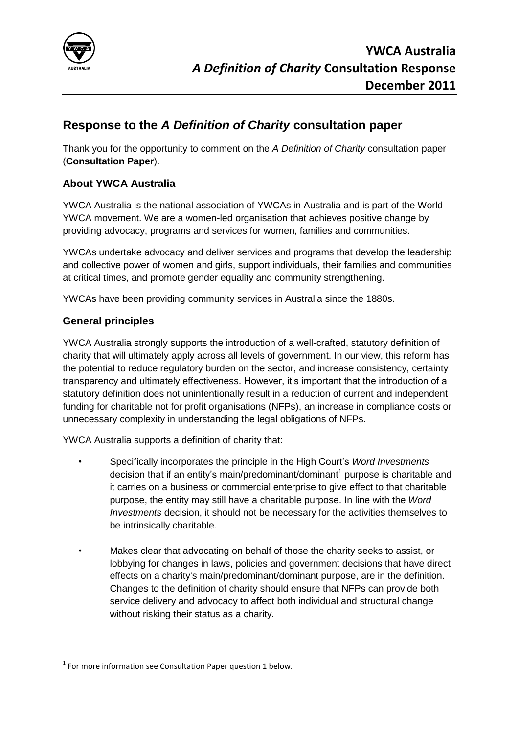

# **Response to the** *A Definition of Charity* **consultation paper**

Thank you for the opportunity to comment on the *A Definition of Charity* consultation paper (**Consultation Paper**).

## **About YWCA Australia**

YWCA Australia is the national association of YWCAs in Australia and is part of the World YWCA movement. We are a women-led organisation that achieves positive change by providing advocacy, programs and services for women, families and communities.

YWCAs undertake advocacy and deliver services and programs that develop the leadership and collective power of women and girls, support individuals, their families and communities at critical times, and promote gender equality and community strengthening.

YWCAs have been providing community services in Australia since the 1880s.

#### **General principles**

YWCA Australia strongly supports the introduction of a well-crafted, statutory definition of charity that will ultimately apply across all levels of government. In our view, this reform has the potential to reduce regulatory burden on the sector, and increase consistency, certainty transparency and ultimately effectiveness. However, it's important that the introduction of a statutory definition does not unintentionally result in a reduction of current and independent funding for charitable not for profit organisations (NFPs), an increase in compliance costs or unnecessary complexity in understanding the legal obligations of NFPs.

YWCA Australia supports a definition of charity that:

- Specifically incorporates the principle in the High Court's *Word Investments* decision that if an entity's main/predominant/dominant<sup>1</sup> purpose is charitable and it carries on a business or commercial enterprise to give effect to that charitable purpose, the entity may still have a charitable purpose. In line with the *Word Investments* decision, it should not be necessary for the activities themselves to be intrinsically charitable.
- Makes clear that advocating on behalf of those the charity seeks to assist, or lobbying for changes in laws, policies and government decisions that have direct effects on a charity's main/predominant/dominant purpose, are in the definition. Changes to the definition of charity should ensure that NFPs can provide both service delivery and advocacy to affect both individual and structural change without risking their status as a charity.

**<sup>.</sup>**  $1$  For more information see Consultation Paper question 1 below.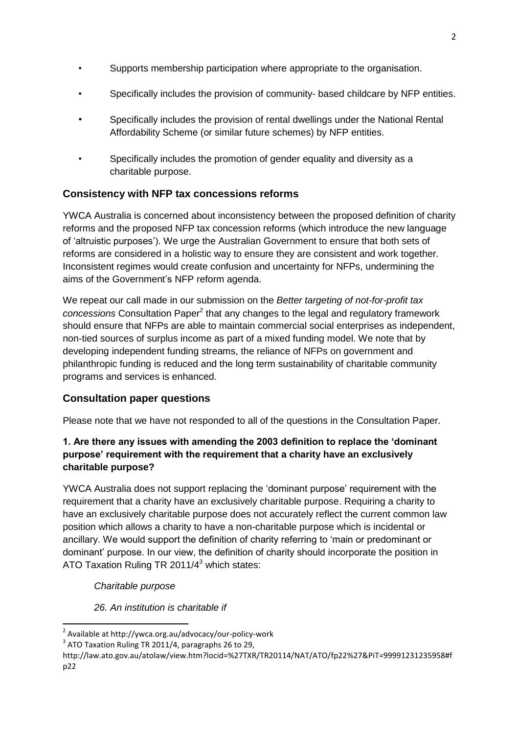- Supports membership participation where appropriate to the organisation.
- Specifically includes the provision of community- based childcare by NFP entities.
- Specifically includes the provision of rental dwellings under the National Rental Affordability Scheme (or similar future schemes) by NFP entities.
- Specifically includes the promotion of gender equality and diversity as a charitable purpose.

## **Consistency with NFP tax concessions reforms**

YWCA Australia is concerned about inconsistency between the proposed definition of charity reforms and the proposed NFP tax concession reforms (which introduce the new language of 'altruistic purposes'). We urge the Australian Government to ensure that both sets of reforms are considered in a holistic way to ensure they are consistent and work together. Inconsistent regimes would create confusion and uncertainty for NFPs, undermining the aims of the Government's NFP reform agenda.

We repeat our call made in our submission on the *Better targeting of not-for-profit tax*  concessions Consultation Paper<sup>2</sup> that any changes to the legal and regulatory framework should ensure that NFPs are able to maintain commercial social enterprises as independent, non-tied sources of surplus income as part of a mixed funding model. We note that by developing independent funding streams, the reliance of NFPs on government and philanthropic funding is reduced and the long term sustainability of charitable community programs and services is enhanced.

## **Consultation paper questions**

Please note that we have not responded to all of the questions in the Consultation Paper.

#### **1. Are there any issues with amending the 2003 definition to replace the 'dominant purpose' requirement with the requirement that a charity have an exclusively charitable purpose?**

YWCA Australia does not support replacing the 'dominant purpose' requirement with the requirement that a charity have an exclusively charitable purpose. Requiring a charity to have an exclusively charitable purpose does not accurately reflect the current common law position which allows a charity to have a non-charitable purpose which is incidental or ancillary. We would support the definition of charity referring to 'main or predominant or dominant' purpose. In our view, the definition of charity should incorporate the position in ATO Taxation Ruling TR 2011/ $4^3$  which states:

*Charitable purpose*

1

*26. An institution is charitable if*

<sup>2</sup> Available at http://ywca.org.au/advocacy/our-policy-work

 $3$  ATO Taxation Ruling TR 2011/4, paragraphs 26 to 29,

http://law.ato.gov.au/atolaw/view.htm?locid=%27TXR/TR20114/NAT/ATO/fp22%27&PiT=99991231235958#f p22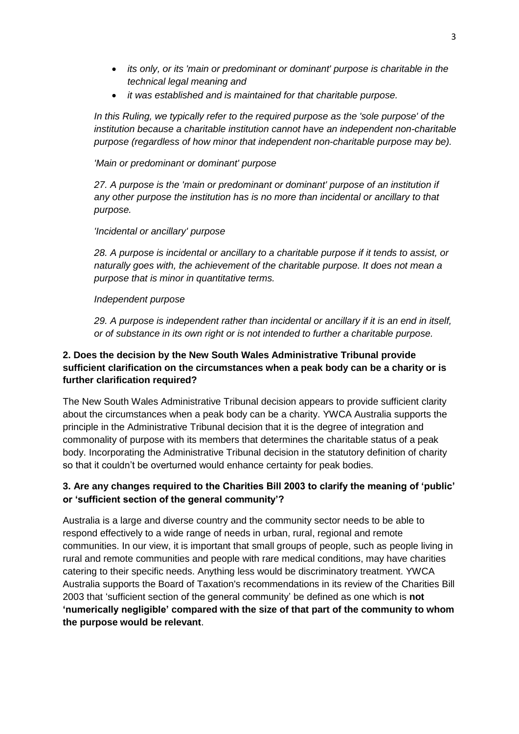- *its only, or its 'main or predominant or dominant' purpose is charitable in the technical legal meaning and*
- *it was established and is maintained for that charitable purpose.*

*In this Ruling, we typically refer to the required purpose as the 'sole purpose' of the institution because a charitable institution cannot have an independent non-charitable purpose (regardless of how minor that independent non-charitable purpose may be).*

*'Main or predominant or dominant' purpose*

*27. A purpose is the 'main or predominant or dominant' purpose of an institution if any other purpose the institution has is no more than incidental or ancillary to that purpose.*

#### *'Incidental or ancillary' purpose*

*28. A purpose is incidental or ancillary to a charitable purpose if it tends to assist, or naturally goes with, the achievement of the charitable purpose. It does not mean a purpose that is minor in quantitative terms.*

#### *Independent purpose*

*29. A purpose is independent rather than incidental or ancillary if it is an end in itself, or of substance in its own right or is not intended to further a charitable purpose.*

#### **2. Does the decision by the New South Wales Administrative Tribunal provide sufficient clarification on the circumstances when a peak body can be a charity or is further clarification required?**

The New South Wales Administrative Tribunal decision appears to provide sufficient clarity about the circumstances when a peak body can be a charity. YWCA Australia supports the principle in the Administrative Tribunal decision that it is the degree of integration and commonality of purpose with its members that determines the charitable status of a peak body. Incorporating the Administrative Tribunal decision in the statutory definition of charity so that it couldn't be overturned would enhance certainty for peak bodies.

#### **3. Are any changes required to the Charities Bill 2003 to clarify the meaning of 'public' or 'sufficient section of the general community'?**

Australia is a large and diverse country and the community sector needs to be able to respond effectively to a wide range of needs in urban, rural, regional and remote communities. In our view, it is important that small groups of people, such as people living in rural and remote communities and people with rare medical conditions, may have charities catering to their specific needs. Anything less would be discriminatory treatment. YWCA Australia supports the Board of Taxation's recommendations in its review of the Charities Bill 2003 that 'sufficient section of the general community' be defined as one which is **not 'numerically negligible' compared with the size of that part of the community to whom the purpose would be relevant**.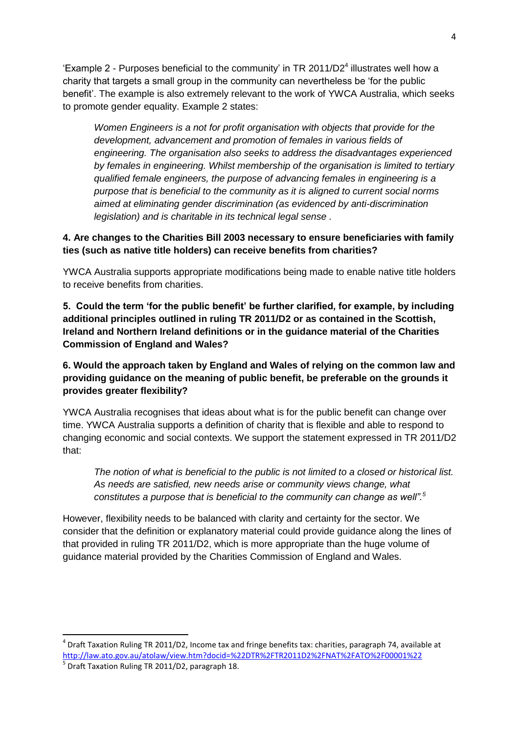'Example 2 - Purposes beneficial to the community' in TR 2011/D2<sup>4</sup> illustrates well how a charity that targets a small group in the community can nevertheless be 'for the public benefit'. The example is also extremely relevant to the work of YWCA Australia, which seeks to promote gender equality. Example 2 states:

*Women Engineers is a not for profit organisation with objects that provide for the development, advancement and promotion of females in various fields of engineering. The organisation also seeks to address the disadvantages experienced by females in engineering. Whilst membership of the organisation is limited to tertiary qualified female engineers, the purpose of advancing females in engineering is a purpose that is beneficial to the community as it is aligned to current social norms aimed at eliminating gender discrimination (as evidenced by anti-discrimination legislation) and is charitable in its technical legal sense .* 

#### **4. Are changes to the Charities Bill 2003 necessary to ensure beneficiaries with family ties (such as native title holders) can receive benefits from charities?**

YWCA Australia supports appropriate modifications being made to enable native title holders to receive benefits from charities.

**5. Could the term 'for the public benefit' be further clarified, for example, by including additional principles outlined in ruling TR 2011/D2 or as contained in the Scottish, Ireland and Northern Ireland definitions or in the guidance material of the Charities Commission of England and Wales?** 

#### **6. Would the approach taken by England and Wales of relying on the common law and providing guidance on the meaning of public benefit, be preferable on the grounds it provides greater flexibility?**

YWCA Australia recognises that ideas about what is for the public benefit can change over time. YWCA Australia supports a definition of charity that is flexible and able to respond to changing economic and social contexts. We support the statement expressed in TR 2011/D2 that:

*The notion of what is beneficial to the public is not limited to a closed or historical list. As needs are satisfied, new needs arise or community views change, what constitutes a purpose that is beneficial to the community can change as well".<sup>5</sup>*

However, flexibility needs to be balanced with clarity and certainty for the sector. We consider that the definition or explanatory material could provide guidance along the lines of that provided in ruling TR 2011/D2, which is more appropriate than the huge volume of guidance material provided by the Charities Commission of England and Wales.

**.** 

<sup>4</sup> Draft Taxation Ruling TR 2011/D2, Income tax and fringe benefits tax: charities, paragraph 74, available at <http://law.ato.gov.au/atolaw/view.htm?docid=%22DTR%2FTR2011D2%2FNAT%2FATO%2F00001%22>

<sup>&</sup>lt;sup>5</sup> Draft Taxation Ruling TR 2011/D2, paragraph 18.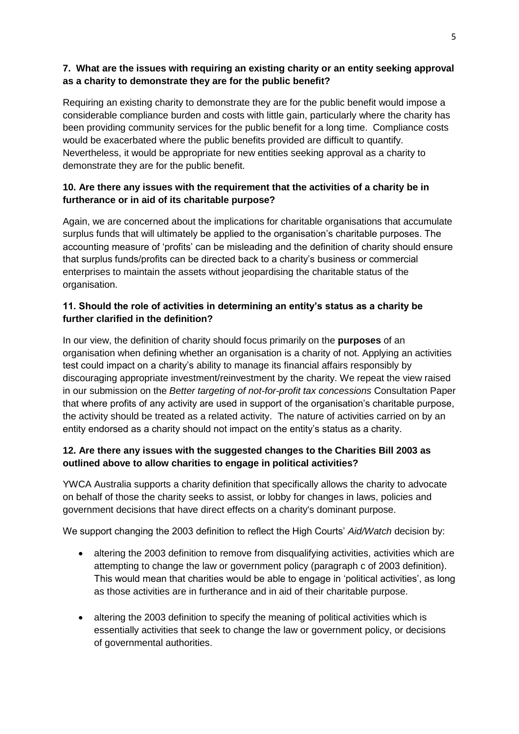#### **7. What are the issues with requiring an existing charity or an entity seeking approval as a charity to demonstrate they are for the public benefit?**

Requiring an existing charity to demonstrate they are for the public benefit would impose a considerable compliance burden and costs with little gain, particularly where the charity has been providing community services for the public benefit for a long time. Compliance costs would be exacerbated where the public benefits provided are difficult to quantify. Nevertheless, it would be appropriate for new entities seeking approval as a charity to demonstrate they are for the public benefit.

#### **10. Are there any issues with the requirement that the activities of a charity be in furtherance or in aid of its charitable purpose?**

Again, we are concerned about the implications for charitable organisations that accumulate surplus funds that will ultimately be applied to the organisation's charitable purposes. The accounting measure of 'profits' can be misleading and the definition of charity should ensure that surplus funds/profits can be directed back to a charity's business or commercial enterprises to maintain the assets without jeopardising the charitable status of the organisation.

#### **11. Should the role of activities in determining an entity's status as a charity be further clarified in the definition?**

In our view, the definition of charity should focus primarily on the **purposes** of an organisation when defining whether an organisation is a charity of not. Applying an activities test could impact on a charity's ability to manage its financial affairs responsibly by discouraging appropriate investment/reinvestment by the charity. We repeat the view raised in our submission on the *Better targeting of not-for-profit tax concessions* Consultation Paper that where profits of any activity are used in support of the organisation's charitable purpose, the activity should be treated as a related activity. The nature of activities carried on by an entity endorsed as a charity should not impact on the entity's status as a charity.

#### **12. Are there any issues with the suggested changes to the Charities Bill 2003 as outlined above to allow charities to engage in political activities?**

YWCA Australia supports a charity definition that specifically allows the charity to advocate on behalf of those the charity seeks to assist, or lobby for changes in laws, policies and government decisions that have direct effects on a charity's dominant purpose.

We support changing the 2003 definition to reflect the High Courts' *Aid/Watch* decision by:

- altering the 2003 definition to remove from disqualifying activities, activities which are attempting to change the law or government policy (paragraph c of 2003 definition). This would mean that charities would be able to engage in 'political activities', as long as those activities are in furtherance and in aid of their charitable purpose.
- altering the 2003 definition to specify the meaning of political activities which is essentially activities that seek to change the law or government policy, or decisions of governmental authorities.